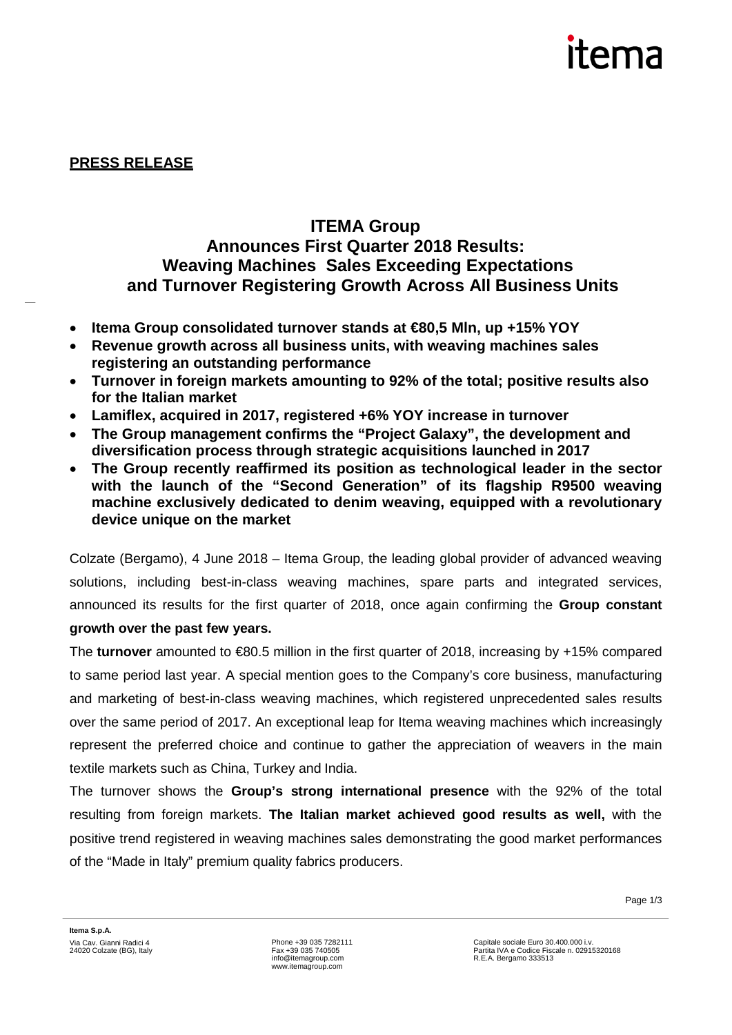# itema

**PRESS RELEASE**

## **ITEMA Group Announces First Quarter 2018 Results: Weaving Machines Sales Exceeding Expectations and Turnover Registering Growth Across All Business Units**

- **Itema Group consolidated turnover stands at €80,5 Mln, up +15% YOY**
- **Revenue growth across all business units, with weaving machines sales registering an outstanding performance**
- **Turnover in foreign markets amounting to 92% of the total; positive results also for the Italian market**
- **Lamiflex, acquired in 2017, registered +6% YOY increase in turnover**
- **The Group management confirms the "Project Galaxy", the development and diversification process through strategic acquisitions launched in 2017**
- **The Group recently reaffirmed its position as technological leader in the sector with the launch of the "Second Generation" of its flagship R9500 weaving machine exclusively dedicated to denim weaving, equipped with a revolutionary device unique on the market**

Colzate (Bergamo), 4 June 2018 – Itema Group, the leading global provider of advanced weaving solutions, including best-in-class weaving machines, spare parts and integrated services, announced its results for the first quarter of 2018, once again confirming the **Group constant** 

## **growth over the past few years.**

The **turnover** amounted to €80.5 million in the first quarter of 2018, increasing by +15% compared to same period last year. A special mention goes to the Company's core business, manufacturing and marketing of best-in-class weaving machines, which registered unprecedented sales results over the same period of 2017. An exceptional leap for Itema weaving machines which increasingly represent the preferred choice and continue to gather the appreciation of weavers in the main textile markets such as China, Turkey and India.

The turnover shows the **Group's strong international presence** with the 92% of the total resulting from foreign markets. **The Italian market achieved good results as well,** with the positive trend registered in weaving machines sales demonstrating the good market performances of the "Made in Italy" premium quality fabrics producers.

Page 1/3

Phone +39 035 7282111 Fax +39 035 740505 [info@itemagroup.com](mailto:info@itemagroup.com) [www.itemagroup.com](http://www.itemagroup.com/)

Capitale sociale Euro 30.400.000 i.v. Partita IVA e Codice Fiscale n. 02915320168 R.E.A. Bergamo 333513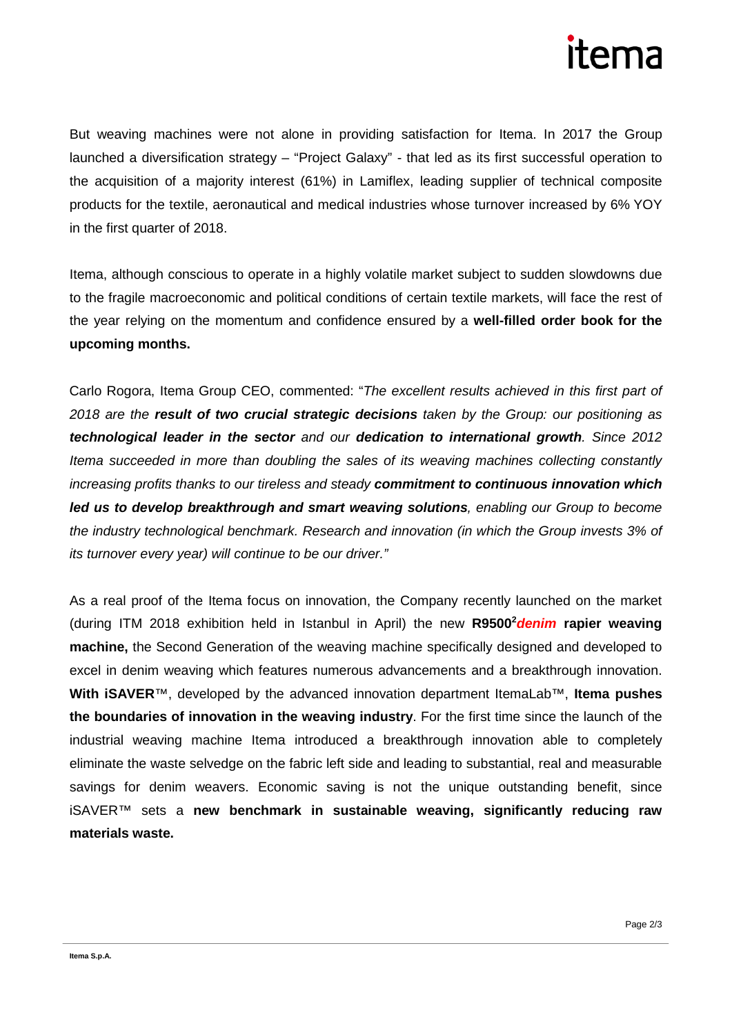

But weaving machines were not alone in providing satisfaction for Itema. In 2017 the Group launched a diversification strategy – "Project Galaxy" - that led as its first successful operation to the acquisition of a majority interest (61%) in Lamiflex, leading supplier of technical composite products for the textile, aeronautical and medical industries whose turnover increased by 6% YOY in the first quarter of 2018.

Itema, although conscious to operate in a highly volatile market subject to sudden slowdowns due to the fragile macroeconomic and political conditions of certain textile markets, will face the rest of the year relying on the momentum and confidence ensured by a **well-filled order book for the upcoming months.**

Carlo Rogora, Itema Group CEO, commented: "*The excellent results achieved in this first part of 2018 are the result of two crucial strategic decisions taken by the Group: our positioning as technological leader in the sector and our dedication to international growth. Since 2012 Itema succeeded in more than doubling the sales of its weaving machines collecting constantly increasing profits thanks to our tireless and steady commitment to continuous innovation which led us to develop breakthrough and smart weaving solutions, enabling our Group to become the industry technological benchmark. Research and innovation (in which the Group invests 3% of its turnover every year) will continue to be our driver."*

As a real proof of the Itema focus on innovation, the Company recently launched on the market (during ITM 2018 exhibition held in Istanbul in April) the new R9500<sup>2</sup> denim rapier weaving **machine,** the Second Generation of the weaving machine specifically designed and developed to excel in denim weaving which features numerous advancements and a breakthrough innovation. **With iSAVER**™, developed by the advanced innovation department ItemaLab™, **Itema pushes the boundaries of innovation in the weaving industry**. For the first time since the launch of the industrial weaving machine Itema introduced a breakthrough innovation able to completely eliminate the waste selvedge on the fabric left side and leading to substantial, real and measurable savings for denim weavers. Economic saving is not the unique outstanding benefit, since iSAVER™ sets a **new benchmark in sustainable weaving, significantly reducing raw materials waste.**